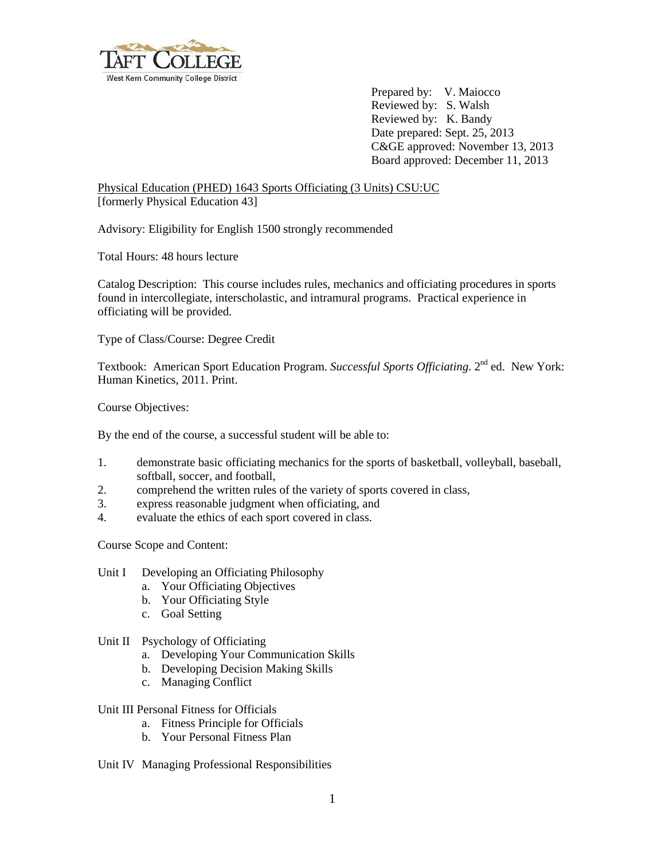

Prepared by: V. Maiocco Reviewed by: S. Walsh Reviewed by: K. Bandy Date prepared: Sept. 25, 2013 C&GE approved: November 13, 2013 Board approved: December 11, 2013

Physical Education (PHED) 1643 Sports Officiating (3 Units) CSU:UC [formerly Physical Education 43]

Advisory: Eligibility for English 1500 strongly recommended

Total Hours: 48 hours lecture

Catalog Description: This course includes rules, mechanics and officiating procedures in sports found in intercollegiate, interscholastic, and intramural programs. Practical experience in officiating will be provided.

Type of Class/Course: Degree Credit

Textbook: American Sport Education Program. *Successful Sports Officiating*. 2<sup>nd</sup> ed. New York: Human Kinetics, 2011. Print.

Course Objectives:

By the end of the course, a successful student will be able to:

- 1. demonstrate basic officiating mechanics for the sports of basketball, volleyball, baseball, softball, soccer, and football,
- 2. comprehend the written rules of the variety of sports covered in class,
- 3. express reasonable judgment when officiating, and
- 4. evaluate the ethics of each sport covered in class.

Course Scope and Content:

- Unit I Developing an Officiating Philosophy
	- a. Your Officiating Objectives
	- b. Your Officiating Style
	- c. Goal Setting

## Unit II Psychology of Officiating

- a. Developing Your Communication Skills
- b. Developing Decision Making Skills
- c. Managing Conflict

Unit III Personal Fitness for Officials

- a. Fitness Principle for Officials
- b. Your Personal Fitness Plan

Unit IV Managing Professional Responsibilities